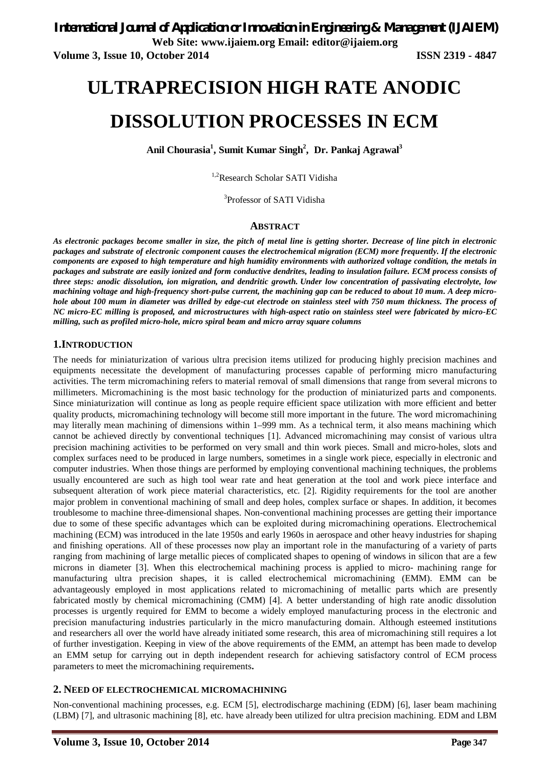**Web Site: www.ijaiem.org Email: editor@ijaiem.org**

**Volume 3, Issue 10, October 2014 ISSN 2319 - 4847**

# **ULTRAPRECISION HIGH RATE ANODIC**

# **DISSOLUTION PROCESSES IN ECM**

**Anil Chourasia<sup>1</sup> , Sumit Kumar Singh<sup>2</sup> , Dr. Pankaj Agrawal<sup>3</sup>**

<sup>1,2</sup>Research Scholar SATI Vidisha

3 Professor of SATI Vidisha

# **ABSTRACT**

*As electronic packages become smaller in size, the pitch of metal line is getting shorter. Decrease of line pitch in electronic packages and substrate of electronic component causes the electrochemical migration (ECM) more frequently. If the electronic components are exposed to high temperature and high humidity environments with authorized voltage condition, the metals in packages and substrate are easily ionized and form conductive dendrites, leading to insulation failure. ECM process consists of three steps: anodic dissolution, ion migration, and dendritic growth. Under low concentration of passivating electrolyte, low machining voltage and high-frequency short-pulse current, the machining gap can be reduced to about 10 mum. A deep microhole about 100 mum in diameter was drilled by edge-cut electrode on stainless steel with 750 mum thickness. The process of NC micro-EC milling is proposed, and microstructures with high-aspect ratio on stainless steel were fabricated by micro-EC milling, such as profiled micro-hole, micro spiral beam and micro array square columns*

# **1.INTRODUCTION**

The needs for miniaturization of various ultra precision items utilized for producing highly precision machines and equipments necessitate the development of manufacturing processes capable of performing micro manufacturing activities. The term micromachining refers to material removal of small dimensions that range from several microns to millimeters. Micromachining is the most basic technology for the production of miniaturized parts and components. Since miniaturization will continue as long as people require efficient space utilization with more efficient and better quality products, micromachining technology will become still more important in the future. The word micromachining may literally mean machining of dimensions within 1–999 mm. As a technical term, it also means machining which cannot be achieved directly by conventional techniques [1]. Advanced micromachining may consist of various ultra precision machining activities to be performed on very small and thin work pieces. Small and micro-holes, slots and complex surfaces need to be produced in large numbers, sometimes in a single work piece, especially in electronic and computer industries. When those things are performed by employing conventional machining techniques, the problems usually encountered are such as high tool wear rate and heat generation at the tool and work piece interface and subsequent alteration of work piece material characteristics, etc. [2]. Rigidity requirements for the tool are another major problem in conventional machining of small and deep holes, complex surface or shapes. In addition, it becomes troublesome to machine three-dimensional shapes. Non-conventional machining processes are getting their importance due to some of these specific advantages which can be exploited during micromachining operations. Electrochemical machining (ECM) was introduced in the late 1950s and early 1960s in aerospace and other heavy industries for shaping and finishing operations. All of these processes now play an important role in the manufacturing of a variety of parts ranging from machining of large metallic pieces of complicated shapes to opening of windows in silicon that are a few microns in diameter [3]. When this electrochemical machining process is applied to micro- machining range for manufacturing ultra precision shapes, it is called electrochemical micromachining (EMM). EMM can be advantageously employed in most applications related to micromachining of metallic parts which are presently fabricated mostly by chemical micromachining (CMM) [4]. A better understanding of high rate anodic dissolution processes is urgently required for EMM to become a widely employed manufacturing process in the electronic and precision manufacturing industries particularly in the micro manufacturing domain. Although esteemed institutions and researchers all over the world have already initiated some research, this area of micromachining still requires a lot of further investigation. Keeping in view of the above requirements of the EMM, an attempt has been made to develop an EMM setup for carrying out in depth independent research for achieving satisfactory control of ECM process parameters to meet the micromachining requirements**.**

# **2. NEED OF ELECTROCHEMICAL MICROMACHINING**

Non-conventional machining processes, e.g. ECM [5], electrodischarge machining (EDM) [6], laser beam machining (LBM) [7], and ultrasonic machining [8], etc. have already been utilized for ultra precision machining. EDM and LBM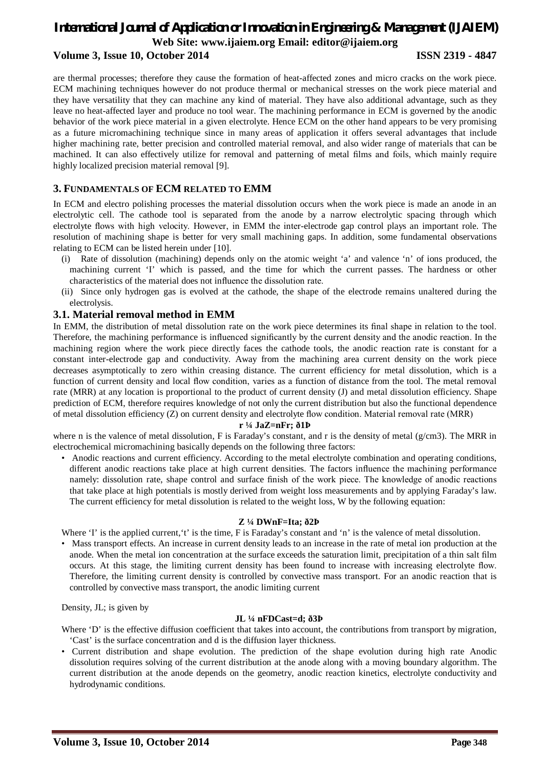are thermal processes; therefore they cause the formation of heat-affected zones and micro cracks on the work piece. ECM machining techniques however do not produce thermal or mechanical stresses on the work piece material and they have versatility that they can machine any kind of material. They have also additional advantage, such as they leave no heat-affected layer and produce no tool wear. The machining performance in ECM is governed by the anodic behavior of the work piece material in a given electrolyte. Hence ECM on the other hand appears to be very promising as a future micromachining technique since in many areas of application it offers several advantages that include higher machining rate, better precision and controlled material removal, and also wider range of materials that can be machined. It can also effectively utilize for removal and patterning of metal films and foils, which mainly require highly localized precision material removal [9].

# **3. FUNDAMENTALS OF ECM RELATED TO EMM**

In ECM and electro polishing processes the material dissolution occurs when the work piece is made an anode in an electrolytic cell. The cathode tool is separated from the anode by a narrow electrolytic spacing through which electrolyte flows with high velocity. However, in EMM the inter-electrode gap control plays an important role. The resolution of machining shape is better for very small machining gaps. In addition, some fundamental observations relating to ECM can be listed herein under [10].

- (i) Rate of dissolution (machining) depends only on the atomic weight 'a' and valence 'n' of ions produced, the machining current 'I' which is passed, and the time for which the current passes. The hardness or other characteristics of the material does not influence the dissolution rate.
- (ii) Since only hydrogen gas is evolved at the cathode, the shape of the electrode remains unaltered during the electrolysis.

# **3.1. Material removal method in EMM**

In EMM, the distribution of metal dissolution rate on the work piece determines its final shape in relation to the tool. Therefore, the machining performance is influenced significantly by the current density and the anodic reaction. In the machining region where the work piece directly faces the cathode tools, the anodic reaction rate is constant for a constant inter-electrode gap and conductivity. Away from the machining area current density on the work piece decreases asymptotically to zero within creasing distance. The current efficiency for metal dissolution, which is a function of current density and local flow condition, varies as a function of distance from the tool. The metal removal rate (MRR) at any location is proportional to the product of current density (J) and metal dissolution efficiency. Shape prediction of ECM, therefore requires knowledge of not only the current distribution but also the functional dependence of metal dissolution efficiency (Z) on current density and electrolyte flow condition. Material removal rate (MRR)

#### **r ¼ JaZ=nFr; ð1Þ**

where n is the valence of metal dissolution, F is Faraday's constant, and r is the density of metal ( $g/cm3$ ). The MRR in electrochemical micromachining basically depends on the following three factors:

• Anodic reactions and current efficiency. According to the metal electrolyte combination and operating conditions, different anodic reactions take place at high current densities. The factors influence the machining performance namely: dissolution rate, shape control and surface finish of the work piece. The knowledge of anodic reactions that take place at high potentials is mostly derived from weight loss measurements and by applying Faraday's law. The current efficiency for metal dissolution is related to the weight loss, W by the following equation:

#### **Z ¼ DWnF=Ita; ð2Þ**

Where 'I' is the applied current, 't' is the time, F is Faraday's constant and 'n' is the valence of metal dissolution.

• Mass transport effects. An increase in current density leads to an increase in the rate of metal ion production at the anode. When the metal ion concentration at the surface exceeds the saturation limit, precipitation of a thin salt film occurs. At this stage, the limiting current density has been found to increase with increasing electrolyte flow. Therefore, the limiting current density is controlled by convective mass transport. For an anodic reaction that is controlled by convective mass transport, the anodic limiting current

Density, JL; is given by

#### **JL ¼ nFDCast=d; ð3Þ**

Where 'D' is the effective diffusion coefficient that takes into account, the contributions from transport by migration, 'Cast' is the surface concentration and d is the diffusion layer thickness.

• Current distribution and shape evolution. The prediction of the shape evolution during high rate Anodic dissolution requires solving of the current distribution at the anode along with a moving boundary algorithm. The current distribution at the anode depends on the geometry, anodic reaction kinetics, electrolyte conductivity and hydrodynamic conditions.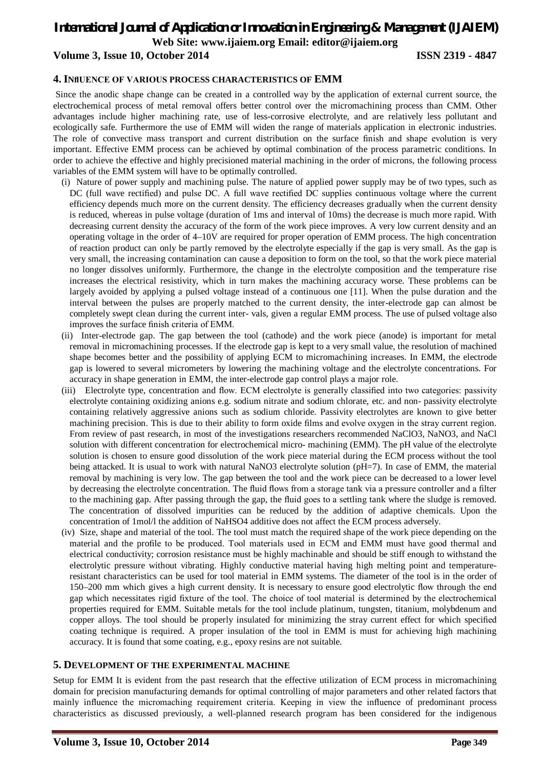# *International Journal of Application or Innovation in Engineering & Management (IJAIEM)* **Web Site: www.ijaiem.org Email: editor@ijaiem.org**

# **Volume 3, Issue 10, October 2014 ISSN 2319 - 4847**

#### **4. INflUENCE OF VARIOUS PROCESS CHARACTERISTICS OF EMM**

Since the anodic shape change can be created in a controlled way by the application of external current source, the electrochemical process of metal removal offers better control over the micromachining process than CMM. Other advantages include higher machining rate, use of less-corrosive electrolyte, and are relatively less pollutant and ecologically safe. Furthermore the use of EMM will widen the range of materials application in electronic industries. The role of convective mass transport and current distribution on the surface finish and shape evolution is very important. Effective EMM process can be achieved by optimal combination of the process parametric conditions. In order to achieve the effective and highly precisioned material machining in the order of microns, the following process variables of the EMM system will have to be optimally controlled.

- (i) Nature of power supply and machining pulse. The nature of applied power supply may be of two types, such as DC (full wave rectified) and pulse DC. A full wave rectified DC supplies continuous voltage where the current efficiency depends much more on the current density. The efficiency decreases gradually when the current density is reduced, whereas in pulse voltage (duration of 1ms and interval of 10ms) the decrease is much more rapid. With decreasing current density the accuracy of the form of the work piece improves. A very low current density and an operating voltage in the order of 4–10V are required for proper operation of EMM process. The high concentration of reaction product can only be partly removed by the electrolyte especially if the gap is very small. As the gap is very small, the increasing contamination can cause a deposition to form on the tool, so that the work piece material no longer dissolves uniformly. Furthermore, the change in the electrolyte composition and the temperature rise increases the electrical resistivity, which in turn makes the machining accuracy worse. These problems can be largely avoided by applying a pulsed voltage instead of a continuous one [11]. When the pulse duration and the interval between the pulses are properly matched to the current density, the inter-electrode gap can almost be completely swept clean during the current inter- vals, given a regular EMM process. The use of pulsed voltage also improves the surface finish criteria of EMM.
- (ii) Inter-electrode gap. The gap between the tool (cathode) and the work piece (anode) is important for metal removal in micromachining processes. If the electrode gap is kept to a very small value, the resolution of machined shape becomes better and the possibility of applying ECM to micromachining increases. In EMM, the electrode gap is lowered to several micrometers by lowering the machining voltage and the electrolyte concentrations. For accuracy in shape generation in EMM, the inter-electrode gap control plays a major role.
- (iii) Electrolyte type, concentration and flow. ECM electrolyte is generally classified into two categories: passivity electrolyte containing oxidizing anions e.g. sodium nitrate and sodium chlorate, etc. and non- passivity electrolyte containing relatively aggressive anions such as sodium chloride. Passivity electrolytes are known to give better machining precision. This is due to their ability to form oxide films and evolve oxygen in the stray current region. From review of past research, in most of the investigations researchers recommended NaClO3, NaNO3, and NaCl solution with different concentration for electrochemical micro- machining (EMM). The pH value of the electrolyte solution is chosen to ensure good dissolution of the work piece material during the ECM process without the tool being attacked. It is usual to work with natural NaNO3 electrolyte solution (pH=7). In case of EMM, the material removal by machining is very low. The gap between the tool and the work piece can be decreased to a lower level by decreasing the electrolyte concentration. The fluid flows from a storage tank via a pressure controller and a filter to the machining gap. After passing through the gap, the fluid goes to a settling tank where the sludge is removed. The concentration of dissolved impurities can be reduced by the addition of adaptive chemicals. Upon the concentration of 1mol/l the addition of NaHSO4 additive does not affect the ECM process adversely.
- (iv) Size, shape and material of the tool. The tool must match the required shape of the work piece depending on the material and the profile to be produced. Tool materials used in ECM and EMM must have good thermal and electrical conductivity; corrosion resistance must be highly machinable and should be stiff enough to withstand the electrolytic pressure without vibrating. Highly conductive material having high melting point and temperatureresistant characteristics can be used for tool material in EMM systems. The diameter of the tool is in the order of 150–200 mm which gives a high current density. It is necessary to ensure good electrolytic flow through the end gap which necessitates rigid fixture of the tool. The choice of tool material is determined by the electrochemical properties required for EMM. Suitable metals for the tool include platinum, tungsten, titanium, molybdenum and copper alloys. The tool should be properly insulated for minimizing the stray current effect for which specified coating technique is required. A proper insulation of the tool in EMM is must for achieving high machining accuracy. It is found that some coating, e.g., epoxy resins are not suitable.

# **5. DEVELOPMENT OF THE EXPERIMENTAL MACHINE**

Setup for EMM It is evident from the past research that the effective utilization of ECM process in micromachining domain for precision manufacturing demands for optimal controlling of major parameters and other related factors that mainly influence the micromaching requirement criteria. Keeping in view the influence of predominant process characteristics as discussed previously, a well-planned research program has been considered for the indigenous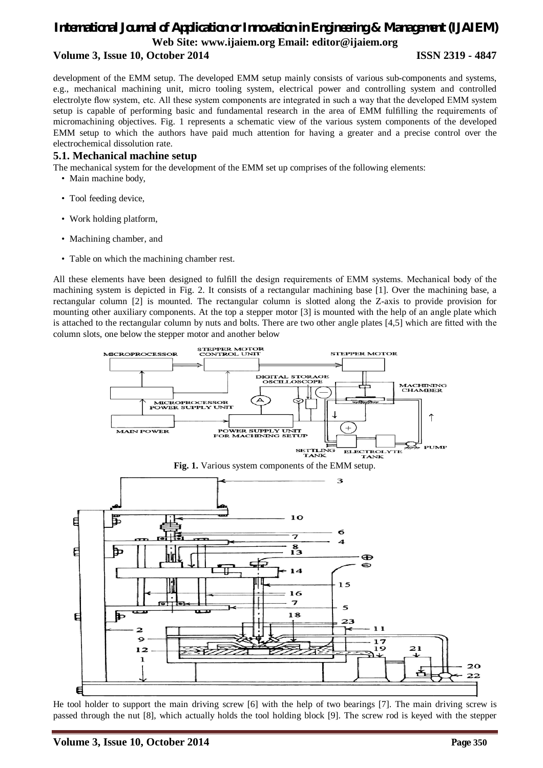development of the EMM setup. The developed EMM setup mainly consists of various sub-components and systems, e.g., mechanical machining unit, micro tooling system, electrical power and controlling system and controlled electrolyte flow system, etc. All these system components are integrated in such a way that the developed EMM system setup is capable of performing basic and fundamental research in the area of EMM fulfilling the requirements of micromachining objectives. Fig. 1 represents a schematic view of the various system components of the developed EMM setup to which the authors have paid much attention for having a greater and a precise control over the electrochemical dissolution rate.

#### **5.1. Mechanical machine setup**

The mechanical system for the development of the EMM set up comprises of the following elements:

- Main machine body,
- Tool feeding device,
- Work holding platform,
- Machining chamber, and
- Table on which the machining chamber rest.

All these elements have been designed to fulfill the design requirements of EMM systems. Mechanical body of the machining system is depicted in Fig. 2. It consists of a rectangular machining base [1]. Over the machining base, a rectangular column [2] is mounted. The rectangular column is slotted along the Z-axis to provide provision for mounting other auxiliary components. At the top a stepper motor [3] is mounted with the help of an angle plate which is attached to the rectangular column by nuts and bolts. There are two other angle plates [4,5] which are fitted with the column slots, one below the stepper motor and another below



He tool holder to support the main driving screw [6] with the help of two bearings [7]. The main driving screw is passed through the nut [8], which actually holds the tool holding block [9]. The screw rod is keyed with the stepper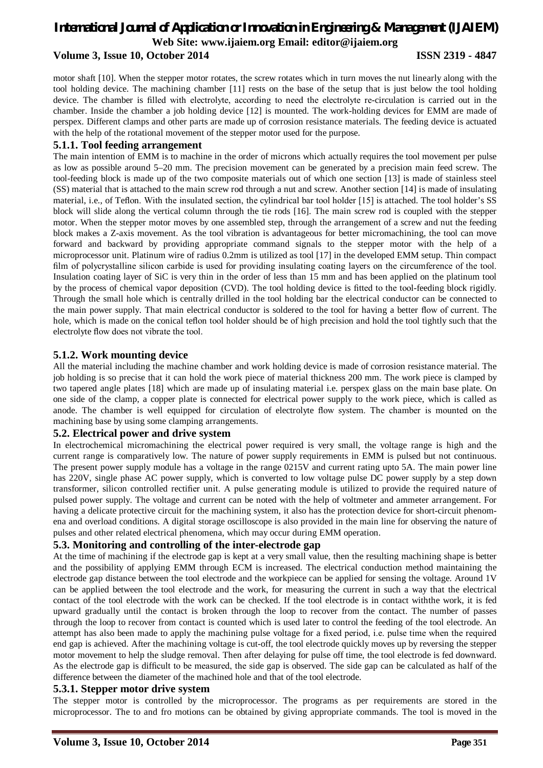motor shaft [10]. When the stepper motor rotates, the screw rotates which in turn moves the nut linearly along with the tool holding device. The machining chamber [11] rests on the base of the setup that is just below the tool holding device. The chamber is filled with electrolyte, according to need the electrolyte re-circulation is carried out in the chamber. Inside the chamber a job holding device [12] is mounted. The work-holding devices for EMM are made of perspex. Different clamps and other parts are made up of corrosion resistance materials. The feeding device is actuated with the help of the rotational movement of the stepper motor used for the purpose.

# **5.1.1. Tool feeding arrangement**

The main intention of EMM is to machine in the order of microns which actually requires the tool movement per pulse as low as possible around 5–20 mm. The precision movement can be generated by a precision main feed screw. The tool-feeding block is made up of the two composite materials out of which one section [13] is made of stainless steel (SS) material that is attached to the main screw rod through a nut and screw. Another section [14] is made of insulating material, i.e., of Teflon. With the insulated section, the cylindrical bar tool holder [15] is attached. The tool holder's SS block will slide along the vertical column through the tie rods [16]. The main screw rod is coupled with the stepper motor. When the stepper motor moves by one assembled step, through the arrangement of a screw and nut the feeding block makes a Z-axis movement. As the tool vibration is advantageous for better micromachining, the tool can move forward and backward by providing appropriate command signals to the stepper motor with the help of a microprocessor unit. Platinum wire of radius 0.2mm is utilized as tool [17] in the developed EMM setup. Thin compact film of polycrystalline silicon carbide is used for providing insulating coating layers on the circumference of the tool. Insulation coating layer of SiC is very thin in the order of less than 15 mm and has been applied on the platinum tool by the process of chemical vapor deposition (CVD). The tool holding device is fitted to the tool-feeding block rigidly. Through the small hole which is centrally drilled in the tool holding bar the electrical conductor can be connected to the main power supply. That main electrical conductor is soldered to the tool for having a better flow of current. The hole, which is made on the conical teflon tool holder should be of high precision and hold the tool tightly such that the electrolyte flow does not vibrate the tool.

# **5.1.2. Work mounting device**

All the material including the machine chamber and work holding device is made of corrosion resistance material. The job holding is so precise that it can hold the work piece of material thickness 200 mm. The work piece is clamped by two tapered angle plates [18] which are made up of insulating material i.e. perspex glass on the main base plate. On one side of the clamp, a copper plate is connected for electrical power supply to the work piece, which is called as anode. The chamber is well equipped for circulation of electrolyte flow system. The chamber is mounted on the machining base by using some clamping arrangements.

# **5.2. Electrical power and drive system**

In electrochemical micromachining the electrical power required is very small, the voltage range is high and the current range is comparatively low. The nature of power supply requirements in EMM is pulsed but not continuous. The present power supply module has a voltage in the range 0215V and current rating upto 5A. The main power line has 220V, single phase AC power supply, which is converted to low voltage pulse DC power supply by a step down transformer, silicon controlled rectifier unit. A pulse generating module is utilized to provide the required nature of pulsed power supply. The voltage and current can be noted with the help of voltmeter and ammeter arrangement. For having a delicate protective circuit for the machining system, it also has the protection device for short-circuit phenomena and overload conditions. A digital storage oscilloscope is also provided in the main line for observing the nature of pulses and other related electrical phenomena, which may occur during EMM operation.

# **5.3. Monitoring and controlling of the inter-electrode gap**

At the time of machining if the electrode gap is kept at a very small value, then the resulting machining shape is better and the possibility of applying EMM through ECM is increased. The electrical conduction method maintaining the electrode gap distance between the tool electrode and the workpiece can be applied for sensing the voltage. Around 1V can be applied between the tool electrode and the work, for measuring the current in such a way that the electrical contact of the tool electrode with the work can be checked. If the tool electrode is in contact withthe work, it is fed upward gradually until the contact is broken through the loop to recover from the contact. The number of passes through the loop to recover from contact is counted which is used later to control the feeding of the tool electrode. An attempt has also been made to apply the machining pulse voltage for a fixed period, i.e. pulse time when the required end gap is achieved. After the machining voltage is cut-off, the tool electrode quickly moves up by reversing the stepper motor movement to help the sludge removal. Then after delaying for pulse off time, the tool electrode is fed downward. As the electrode gap is difficult to be measured, the side gap is observed. The side gap can be calculated as half of the difference between the diameter of the machined hole and that of the tool electrode.

# **5.3.1. Stepper motor drive system**

The stepper motor is controlled by the microprocessor. The programs as per requirements are stored in the microprocessor. The to and fro motions can be obtained by giving appropriate commands. The tool is moved in the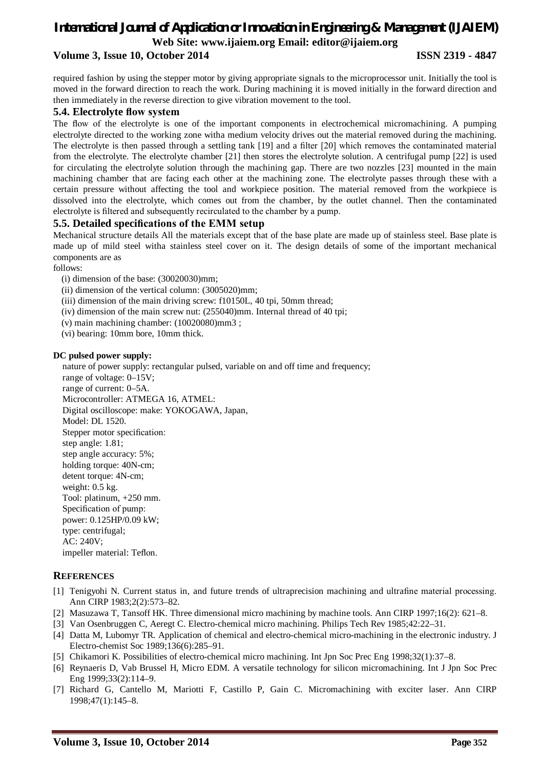required fashion by using the stepper motor by giving appropriate signals to the microprocessor unit. Initially the tool is moved in the forward direction to reach the work. During machining it is moved initially in the forward direction and then immediately in the reverse direction to give vibration movement to the tool.

# **5.4. Electrolyte flow system**

The flow of the electrolyte is one of the important components in electrochemical micromachining. A pumping electrolyte directed to the working zone witha medium velocity drives out the material removed during the machining. The electrolyte is then passed through a settling tank [19] and a filter [20] which removes the contaminated material from the electrolyte. The electrolyte chamber [21] then stores the electrolyte solution. A centrifugal pump [22] is used for circulating the electrolyte solution through the machining gap. There are two nozzles [23] mounted in the main machining chamber that are facing each other at the machining zone. The electrolyte passes through these with a certain pressure without affecting the tool and workpiece position. The material removed from the workpiece is dissolved into the electrolyte, which comes out from the chamber, by the outlet channel. Then the contaminated electrolyte is filtered and subsequently recirculated to the chamber by a pump.

# **5.5. Detailed specifications of the EMM setup**

Mechanical structure details All the materials except that of the base plate are made up of stainless steel. Base plate is made up of mild steel witha stainless steel cover on it. The design details of some of the important mechanical components are as

follows:

- (i) dimension of the base: (30020030)mm;
- (ii) dimension of the vertical column: (3005020)mm;
- (iii) dimension of the main driving screw: f10150L, 40 tpi, 50mm thread;
- (iv) dimension of the main screw nut: (255040)mm. Internal thread of 40 tpi;
- (v) main machining chamber: (10020080)mm3 ;
- (vi) bearing: 10mm bore, 10mm thick.

#### **DC pulsed power supply:**

nature of power supply: rectangular pulsed, variable on and off time and frequency; range of voltage: 0–15V; range of current: 0–5A. Microcontroller: ATMEGA 16, ATMEL: Digital oscilloscope: make: YOKOGAWA, Japan, Model: DL 1520. Stepper motor specification: step angle: 1.81; step angle accuracy: 5%; holding torque: 40N-cm; detent torque: 4N-cm; weight: 0.5 kg. Tool: platinum, +250 mm. Specification of pump: power: 0.125HP/0.09 kW; type: centrifugal; AC: 240V;

impeller material: Teflon.

# **REFERENCES**

- [1] Tenigyohi N. Current status in, and future trends of ultraprecision machining and ultrafine material processing. Ann CIRP 1983;2(2):573–82.
- [2] Masuzawa T, Tansoff HK. Three dimensional micro machining by machine tools. Ann CIRP 1997;16(2): 621–8.
- [3] Van Osenbruggen C, Aeregt C. Electro-chemical micro machining. Philips Tech Rev 1985;42:22–31.
- [4] Datta M, Lubomyr TR. Application of chemical and electro-chemical micro-machining in the electronic industry. J Electro-chemist Soc 1989;136(6):285–91.
- [5] Chikamori K. Possibilities of electro-chemical micro machining. Int Jpn Soc Prec Eng 1998;32(1):37–8.
- [6] Reynaeris D, Vab Brussel H, Micro EDM. A versatile technology for silicon micromachining. Int J Jpn Soc Prec Eng 1999;33(2):114–9.
- [7] Richard G, Cantello M, Mariotti F, Castillo P, Gain C. Micromachining with exciter laser. Ann CIRP 1998;47(1):145–8.